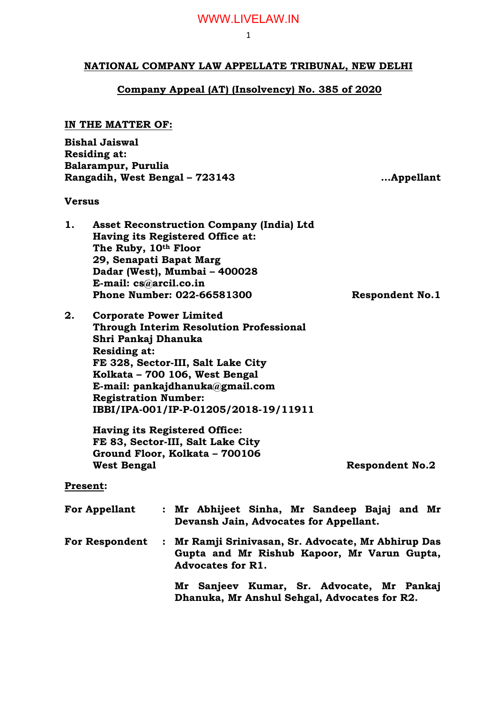### **NATIONAL COMPANY LAW APPELLATE TRIBUNAL, NEW DELHI**

### **Company Appeal (AT) (Insolvency) No. 385 of 2020**

### **IN THE MATTER OF:**

| <b>Bishal Jaiswal</b>          |  |
|--------------------------------|--|
| <b>Residing at:</b>            |  |
| Balarampur, Purulia            |  |
| Rangadih, West Bengal - 723143 |  |

### **Versus**

| <b>Asset Reconstruction Company (India) Ltd</b> |                        |
|-------------------------------------------------|------------------------|
| Having its Registered Office at:                |                        |
| The Ruby, 10th Floor                            |                        |
| 29, Senapati Bapat Marg                         |                        |
| Dadar (West), Mumbai - 400028                   |                        |
| E-mail: cs@arcil.co.in                          |                        |
| Phone Number: 022-66581300                      | <b>Respondent No.1</b> |
|                                                 |                        |

**2. Corporate Power Limited Through Interim Resolution Professional Shri Pankaj Dhanuka Residing at: FE 328, Sector-III, Salt Lake City Kolkata – 700 106, West Bengal E-mail: pankajdhanuka@gmail.com Registration Number: IBBI/IPA-001/IP-P-01205/2018-19/11911**

> **Having its Registered Office: FE 83, Sector-III, Salt Lake City Ground Floor, Kolkata – 700106**

**Respondent No.2** 

**Rangadih, West Bengal – 723143 …Appellant**

### **Present:**

| <b>For Appellant</b>  | : Mr Abhijeet Sinha, Mr Sandeep Bajaj and Mr<br>Devansh Jain, Advocates for Appellant.                                         |
|-----------------------|--------------------------------------------------------------------------------------------------------------------------------|
| <b>For Respondent</b> | : Mr Ramji Srinivasan, Sr. Advocate, Mr Abhirup Das<br>Gupta and Mr Rishub Kapoor, Mr Varun Gupta,<br><b>Advocates for R1.</b> |
|                       | Sanjeev Kumar, Sr. Advocate, Mr Pankaj<br>Mr                                                                                   |
|                       | Dhanuka, Mr Anshul Sehgal, Advocates for R2.                                                                                   |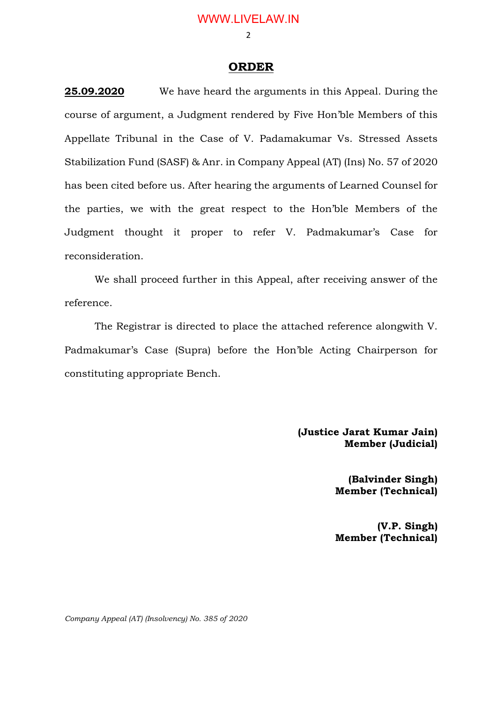$\mathcal{L}$ 

### **ORDER**

**25.09.2020** We have heard the arguments in this Appeal. During the course of argument, a Judgment rendered by Five Hon'ble Members of this Appellate Tribunal in the Case of V. Padamakumar Vs. Stressed Assets Stabilization Fund (SASF) & Anr. in Company Appeal (AT) (Ins) No. 57 of 2020 has been cited before us. After hearing the arguments of Learned Counsel for the parties, we with the great respect to the Hon'ble Members of the Judgment thought it proper to refer V. Padmakumar's Case for reconsideration.

We shall proceed further in this Appeal, after receiving answer of the reference.

The Registrar is directed to place the attached reference alongwith V. Padmakumar's Case (Supra) before the Hon'ble Acting Chairperson for constituting appropriate Bench.

> **(Justice Jarat Kumar Jain) Member (Judicial)**

> > **(Balvinder Singh) Member (Technical)**

**(V.P. Singh) Member (Technical)**

*Company Appeal (AT) (Insolvency) No. 385 of 2020*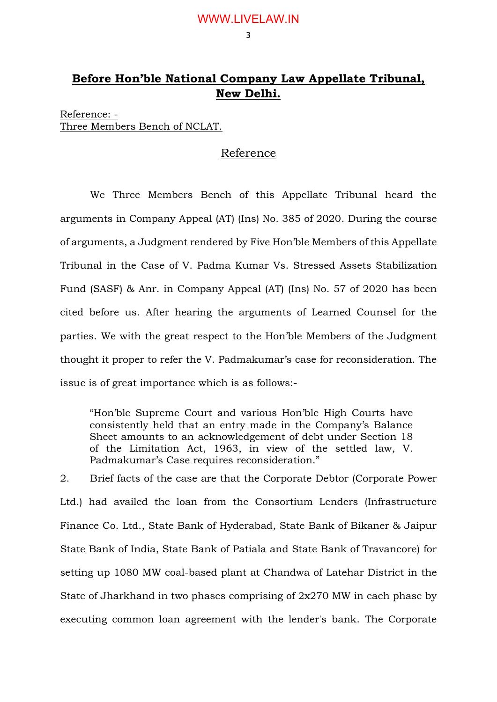3

# **Before Hon'ble National Company Law Appellate Tribunal, New Delhi.**

Reference: - Three Members Bench of NCLAT.

# Reference

We Three Members Bench of this Appellate Tribunal heard the arguments in Company Appeal (AT) (Ins) No. 385 of 2020. During the course of arguments, a Judgment rendered by Five Hon'ble Members of this Appellate Tribunal in the Case of V. Padma Kumar Vs. Stressed Assets Stabilization Fund (SASF) & Anr. in Company Appeal (AT) (Ins) No. 57 of 2020 has been cited before us. After hearing the arguments of Learned Counsel for the parties. We with the great respect to the Hon'ble Members of the Judgment thought it proper to refer the V. Padmakumar's case for reconsideration. The issue is of great importance which is as follows:-

"Hon'ble Supreme Court and various Hon'ble High Courts have consistently held that an entry made in the Company's Balance Sheet amounts to an acknowledgement of debt under Section 18 of the Limitation Act, 1963, in view of the settled law, V. Padmakumar's Case requires reconsideration."

2. Brief facts of the case are that the Corporate Debtor (Corporate Power Ltd.) had availed the loan from the Consortium Lenders (Infrastructure Finance Co. Ltd., State Bank of Hyderabad, State Bank of Bikaner & Jaipur State Bank of India, State Bank of Patiala and State Bank of Travancore) for setting up 1080 MW coal-based plant at Chandwa of Latehar District in the State of Jharkhand in two phases comprising of 2x270 MW in each phase by executing common loan agreement with the lender's bank. The Corporate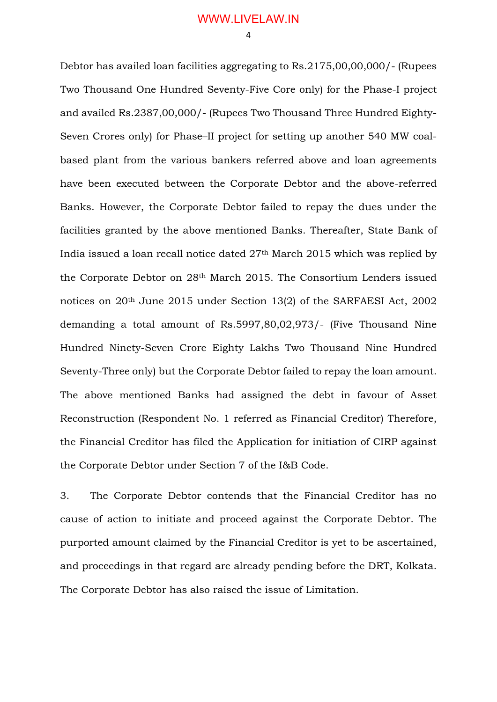Debtor has availed loan facilities aggregating to Rs.2175,00,00,000/- (Rupees Two Thousand One Hundred Seventy-Five Core only) for the Phase-I project and availed Rs.2387,00,000/- (Rupees Two Thousand Three Hundred Eighty-Seven Crores only) for Phase–II project for setting up another 540 MW coalbased plant from the various bankers referred above and loan agreements have been executed between the Corporate Debtor and the above-referred Banks. However, the Corporate Debtor failed to repay the dues under the facilities granted by the above mentioned Banks. Thereafter, State Bank of India issued a loan recall notice dated 27th March 2015 which was replied by the Corporate Debtor on 28th March 2015. The Consortium Lenders issued notices on 20th June 2015 under Section 13(2) of the SARFAESI Act, 2002 demanding a total amount of Rs.5997,80,02,973/- (Five Thousand Nine Hundred Ninety-Seven Crore Eighty Lakhs Two Thousand Nine Hundred Seventy-Three only) but the Corporate Debtor failed to repay the loan amount. The above mentioned Banks had assigned the debt in favour of Asset Reconstruction (Respondent No. 1 referred as Financial Creditor) Therefore, the Financial Creditor has filed the Application for initiation of CIRP against the Corporate Debtor under Section 7 of the I&B Code.

3. The Corporate Debtor contends that the Financial Creditor has no cause of action to initiate and proceed against the Corporate Debtor. The purported amount claimed by the Financial Creditor is yet to be ascertained, and proceedings in that regard are already pending before the DRT, Kolkata. The Corporate Debtor has also raised the issue of Limitation.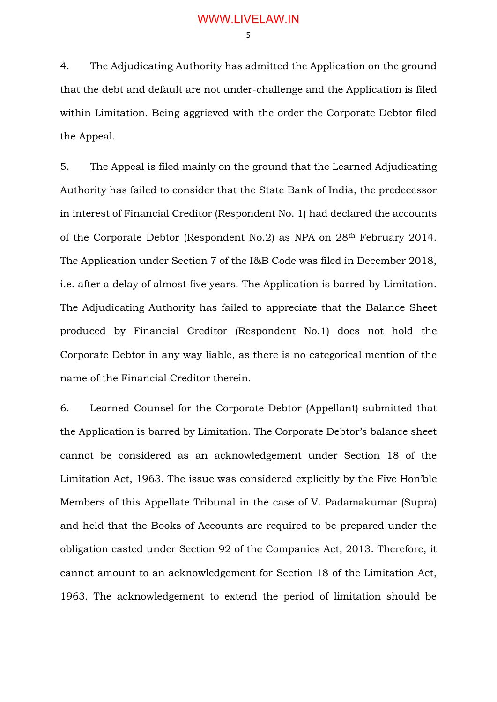4. The Adjudicating Authority has admitted the Application on the ground that the debt and default are not under-challenge and the Application is filed within Limitation. Being aggrieved with the order the Corporate Debtor filed the Appeal.

5. The Appeal is filed mainly on the ground that the Learned Adjudicating Authority has failed to consider that the State Bank of India, the predecessor in interest of Financial Creditor (Respondent No. 1) had declared the accounts of the Corporate Debtor (Respondent No.2) as NPA on 28th February 2014. The Application under Section 7 of the I&B Code was filed in December 2018, i.e. after a delay of almost five years. The Application is barred by Limitation. The Adjudicating Authority has failed to appreciate that the Balance Sheet produced by Financial Creditor (Respondent No.1) does not hold the Corporate Debtor in any way liable, as there is no categorical mention of the name of the Financial Creditor therein.

6. Learned Counsel for the Corporate Debtor (Appellant) submitted that the Application is barred by Limitation. The Corporate Debtor's balance sheet cannot be considered as an acknowledgement under Section 18 of the Limitation Act, 1963. The issue was considered explicitly by the Five Hon'ble Members of this Appellate Tribunal in the case of V. Padamakumar (Supra) and held that the Books of Accounts are required to be prepared under the obligation casted under Section 92 of the Companies Act, 2013. Therefore, it cannot amount to an acknowledgement for Section 18 of the Limitation Act, 1963. The acknowledgement to extend the period of limitation should be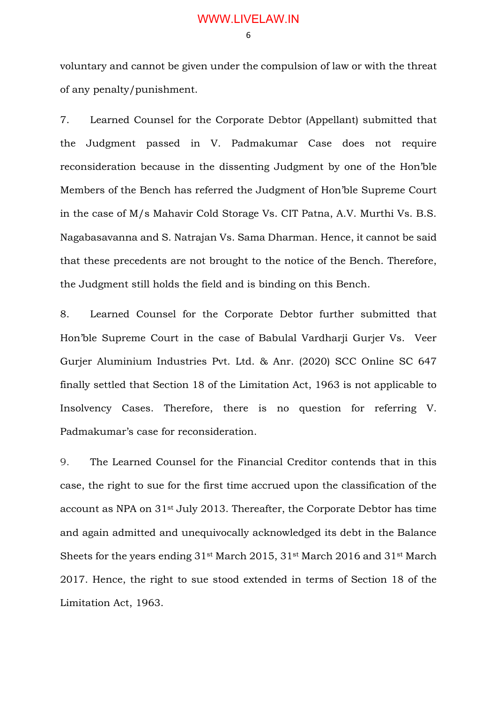voluntary and cannot be given under the compulsion of law or with the threat of any penalty/punishment.

7. Learned Counsel for the Corporate Debtor (Appellant) submitted that the Judgment passed in V. Padmakumar Case does not require reconsideration because in the dissenting Judgment by one of the Hon'ble Members of the Bench has referred the Judgment of Hon'ble Supreme Court in the case of M/s Mahavir Cold Storage Vs. CIT Patna, A.V. Murthi Vs. B.S. Nagabasavanna and S. Natrajan Vs. Sama Dharman. Hence, it cannot be said that these precedents are not brought to the notice of the Bench. Therefore, the Judgment still holds the field and is binding on this Bench.

8. Learned Counsel for the Corporate Debtor further submitted that Hon'ble Supreme Court in the case of Babulal Vardharji Gurjer Vs. Veer Gurjer Aluminium Industries Pvt. Ltd. & Anr. (2020) SCC Online SC 647 finally settled that Section 18 of the Limitation Act, 1963 is not applicable to Insolvency Cases. Therefore, there is no question for referring V. Padmakumar's case for reconsideration.

9. The Learned Counsel for the Financial Creditor contends that in this case, the right to sue for the first time accrued upon the classification of the account as NPA on 31st July 2013. Thereafter, the Corporate Debtor has time and again admitted and unequivocally acknowledged its debt in the Balance Sheets for the years ending 31st March 2015, 31st March 2016 and 31st March 2017. Hence, the right to sue stood extended in terms of Section 18 of the Limitation Act, 1963.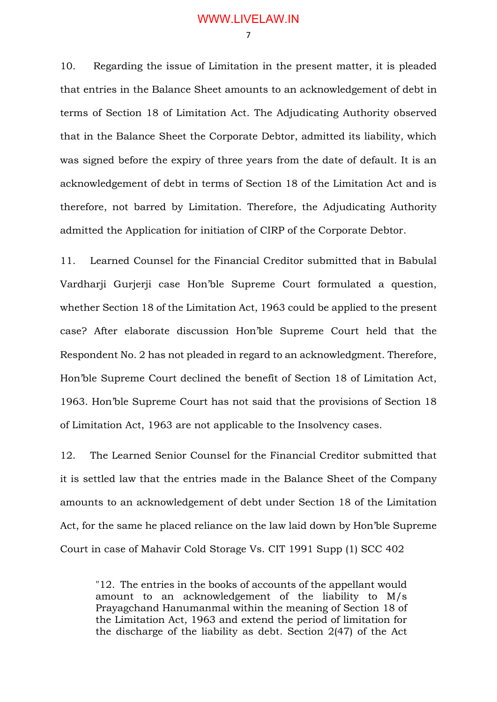7

10. Regarding the issue of Limitation in the present matter, it is pleaded that entries in the Balance Sheet amounts to an acknowledgement of debt in terms of Section 18 of Limitation Act. The Adjudicating Authority observed that in the Balance Sheet the Corporate Debtor, admitted its liability, which was signed before the expiry of three years from the date of default. It is an acknowledgement of debt in terms of Section 18 of the Limitation Act and is therefore, not barred by Limitation. Therefore, the Adjudicating Authority admitted the Application for initiation of CIRP of the Corporate Debtor.

11. Learned Counsel for the Financial Creditor submitted that in Babulal Vardharji Gurjerji case Hon'ble Supreme Court formulated a question, whether Section 18 of the Limitation Act, 1963 could be applied to the present case? After elaborate discussion Hon'ble Supreme Court held that the Respondent No. 2 has not pleaded in regard to an acknowledgment. Therefore, Hon'ble Supreme Court declined the benefit of Section 18 of Limitation Act, 1963. Hon'ble Supreme Court has not said that the provisions of Section 18 of Limitation Act, 1963 are not applicable to the Insolvency cases.

12. The Learned Senior Counsel for the Financial Creditor submitted that it is settled law that the entries made in the Balance Sheet of the Company amounts to an acknowledgement of debt under Section 18 of the Limitation Act, for the same he placed reliance on the law laid down by Hon'ble Supreme Court in case of Mahavir Cold Storage Vs. CIT 1991 Supp (1) SCC 402

"12. The entries in the books of accounts of the appellant would amount to an acknowledgement of the liability to M/s Prayagchand Hanumanmal within the meaning of Section 18 of the Limitation Act, 1963 and extend the period of limitation for the discharge of the liability as debt. Section 2(47) of the Act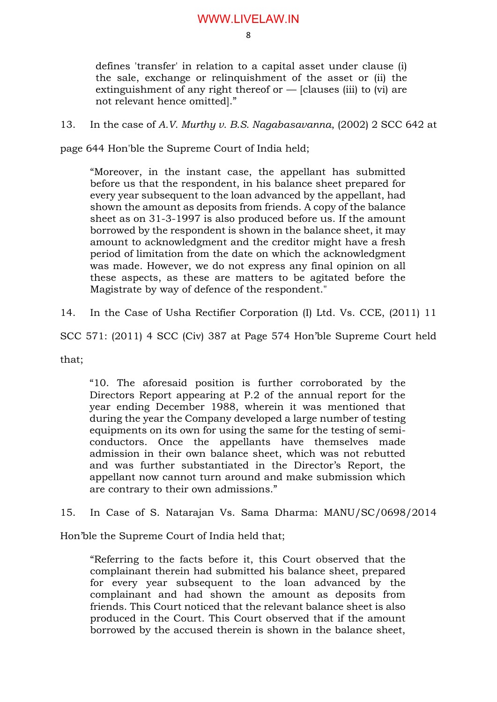defines 'transfer' in relation to a capital asset under clause (i) the sale, exchange or relinquishment of the asset or (ii) the extinguishment of any right thereof or  $-$  [clauses (iii) to (vi) are not relevant hence omitted]."

### 13. In the case of *A.V. Murthy v. B.S. Nagabasavanna*, (2002) 2 SCC 642 at

page 644 Hon'ble the Supreme Court of India held;

"Moreover, in the instant case, the appellant has submitted before us that the respondent, in his balance sheet prepared for every year subsequent to the loan advanced by the appellant, had shown the amount as deposits from friends. A copy of the balance sheet as on 31-3-1997 is also produced before us. If the amount borrowed by the respondent is shown in the balance sheet, it may amount to acknowledgment and the creditor might have a fresh period of limitation from the date on which the acknowledgment was made. However, we do not express any final opinion on all these aspects, as these are matters to be agitated before the Magistrate by way of defence of the respondent."

14. In the Case of Usha Rectifier Corporation (I) Ltd. Vs. CCE, (2011) 11

SCC 571: (2011) 4 SCC (Civ) 387 at Page 574 Hon'ble Supreme Court held

that;

"10. The aforesaid position is further corroborated by the Directors Report appearing at P.2 of the annual report for the year ending December 1988, wherein it was mentioned that during the year the Company developed a large number of testing equipments on its own for using the same for the testing of semiconductors. Once the appellants have themselves made admission in their own balance sheet, which was not rebutted and was further substantiated in the Director's Report, the appellant now cannot turn around and make submission which are contrary to their own admissions."

15. In Case of S. Natarajan Vs. Sama Dharma: MANU/SC/0698/2014

Hon'ble the Supreme Court of India held that;

"Referring to the facts before it, this Court observed that the complainant therein had submitted his balance sheet, prepared for every year subsequent to the loan advanced by the complainant and had shown the amount as deposits from friends. This Court noticed that the relevant balance sheet is also produced in the Court. This Court observed that if the amount borrowed by the accused therein is shown in the balance sheet,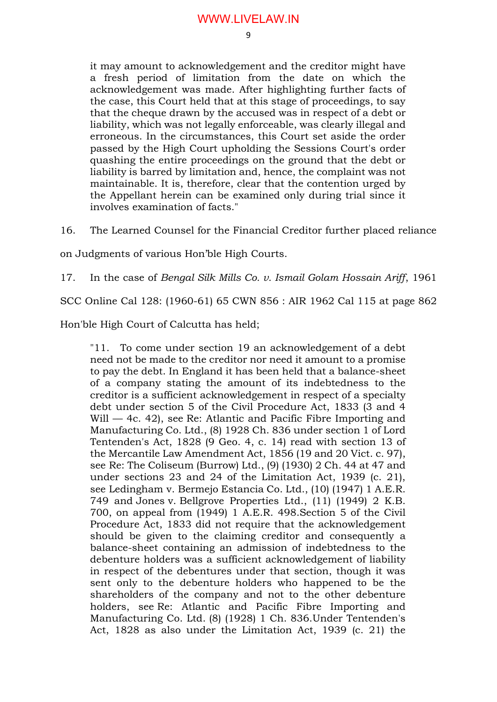it may amount to acknowledgement and the creditor might have a fresh period of limitation from the date on which the acknowledgement was made. After highlighting further facts of the case, this Court held that at this stage of proceedings, to say that the cheque drawn by the accused was in respect of a debt or liability, which was not legally enforceable, was clearly illegal and erroneous. In the circumstances, this Court set aside the order passed by the High Court upholding the Sessions Court's order quashing the entire proceedings on the ground that the debt or liability is barred by limitation and, hence, the complaint was not maintainable. It is, therefore, clear that the contention urged by the Appellant herein can be examined only during trial since it involves examination of facts."

16. The Learned Counsel for the Financial Creditor further placed reliance

on Judgments of various Hon'ble High Courts.

17. In the case of *Bengal Silk Mills Co. v. Ismail Golam Hossain Ariff*, 1961

SCC Online Cal 128: (1960-61) 65 CWN 856 : AIR 1962 Cal 115 at page 862

Hon'ble High Court of Calcutta has held;

"11. To come under section 19 an acknowledgement of a debt need not be made to the creditor nor need it amount to a promise to pay the debt. In England it has been held that a balance-sheet of a company stating the amount of its indebtedness to the creditor is a sufficient acknowledgement in respect of a specialty debt under section 5 of the Civil Procedure Act, 1833 (3 and 4 Will — 4c. 42), see Re: Atlantic and Pacific Fibre Importing and Manufacturing Co. Ltd., (8) 1928 Ch. 836 under section 1 of Lord Tentenden's Act, 1828 (9 Geo. 4, c. 14) read with section 13 of the Mercantile Law Amendment Act, 1856 (19 and 20 Vict. c. 97), see Re: The Coliseum (Burrow) Ltd., (9) (1930) 2 Ch. 44 at 47 and under sections 23 and 24 of the Limitation Act, 1939 (c. 21), see Ledingham v. Bermejo Estancia Co. Ltd., (10) (1947) 1 A.E.R. 749 and Jones v. Bellgrove Properties Ltd., (11) (1949) 2 K.B. 700, on appeal from (1949) 1 A.E.R. 498.Section 5 of the Civil Procedure Act, 1833 did not require that the acknowledgement should be given to the claiming creditor and consequently a balance-sheet containing an admission of indebtedness to the debenture holders was a sufficient acknowledgement of liability in respect of the debentures under that section, though it was sent only to the debenture holders who happened to be the shareholders of the company and not to the other debenture holders, see Re: Atlantic and Pacific Fibre Importing and Manufacturing Co. Ltd. (8) (1928) 1 Ch. 836.Under Tentenden's Act, 1828 as also under the Limitation Act, 1939 (c. 21) the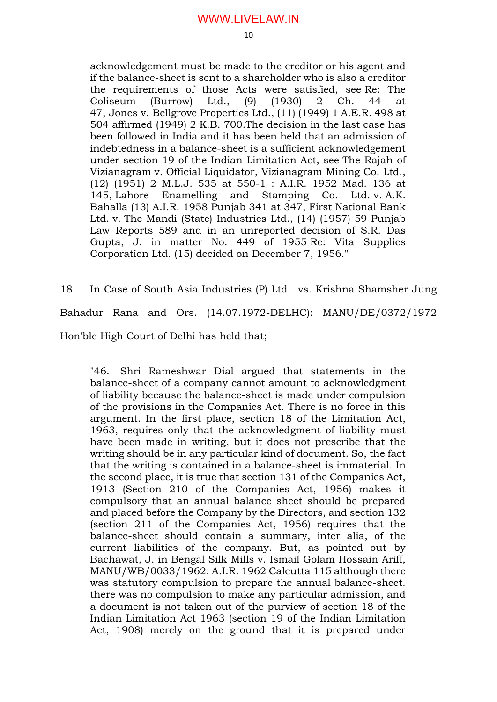10

acknowledgement must be made to the creditor or his agent and if the balance-sheet is sent to a shareholder who is also a creditor the requirements of those Acts were satisfied, see Re: The Coliseum (Burrow) Ltd., (9) (1930) 2 Ch. 44 at 47, Jones v. Bellgrove Properties Ltd., (11) (1949) 1 A.E.R. 498 at 504 affirmed (1949) 2 K.B. 700.The decision in the last case has been followed in India and it has been held that an admission of indebtedness in a balance-sheet is a sufficient acknowledgement under section 19 of the Indian Limitation Act, see The Rajah of Vizianagram v. Official Liquidator, Vizianagram Mining Co. Ltd., (12) (1951) 2 M.L.J. 535 at 550-1 : A.I.R. 1952 Mad. 136 at 145, Lahore Enamelling and Stamping Co. Ltd. v. A.K. Bahalla (13) A.I.R. 1958 Punjab 341 at 347, First National Bank Ltd. v. The Mandi (State) Industries Ltd., (14) (1957) 59 Punjab Law Reports 589 and in an unreported decision of S.R. Das Gupta, J. in matter No. 449 of 1955 Re: Vita Supplies Corporation Ltd. (15) decided on December 7, 1956."

18. In Case of South Asia Industries (P) Ltd. vs. Krishna Shamsher Jung Bahadur Rana and Ors. (14.07.1972-DELHC): MANU/DE/0372/1972 Hon'ble High Court of Delhi has held that;

"46. Shri Rameshwar Dial argued that statements in the balance-sheet of a company cannot amount to acknowledgment of liability because the balance-sheet is made under compulsion of the provisions in the Companies Act. There is no force in this argument. In the first place, section 18 of the Limitation Act, 1963, requires only that the acknowledgment of liability must have been made in writing, but it does not prescribe that the writing should be in any particular kind of document. So, the fact that the writing is contained in a balance-sheet is immaterial. In the second place, it is true that section 131 of the Companies Act, 1913 (Section 210 of the Companies Act, 1956) makes it compulsory that an annual balance sheet should be prepared and placed before the Company by the Directors, and section 132 (section 211 of the Companies Act, 1956) requires that the balance-sheet should contain a summary, inter alia, of the current liabilities of the company. But, as pointed out by Bachawat, J. in Bengal Silk Mills v. Ismail Golam Hossain Ariff, MANU/WB/0033/1962: A.I.R. 1962 Calcutta 115 although there was statutory compulsion to prepare the annual balance-sheet. there was no compulsion to make any particular admission, and a document is not taken out of the purview of section 18 of the Indian Limitation Act 1963 (section 19 of the Indian Limitation Act, 1908) merely on the ground that it is prepared under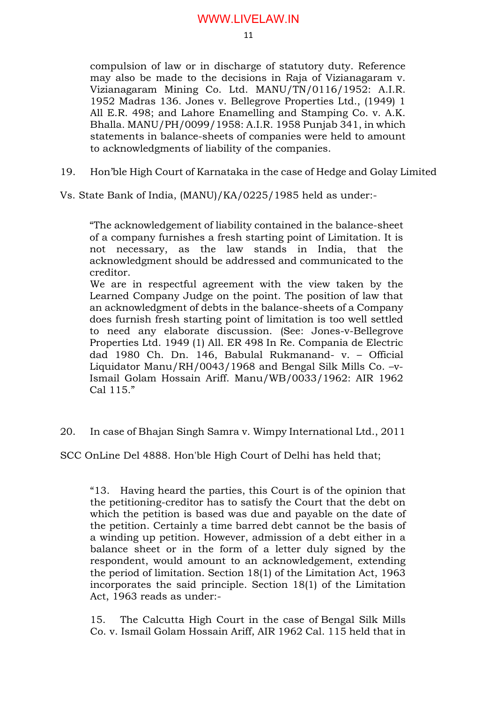compulsion of law or in discharge of statutory duty. Reference may also be made to the decisions in Raja of Vizianagaram v. Vizianagaram Mining Co. Ltd. MANU/TN/0116/1952: A.I.R. 1952 Madras 136. Jones v. Bellegrove Properties Ltd., (1949) 1 All E.R. 498; and Lahore Enamelling and Stamping Co. v. A.K. Bhalla. MANU/PH/0099/1958: A.I.R. 1958 Punjab 341, in which statements in balance-sheets of companies were held to amount to acknowledgments of liability of the companies.

19. Hon'ble High Court of Karnataka in the case of Hedge and Golay Limited

Vs. State Bank of India, (MANU)/KA/0225/1985 held as under:-

"The acknowledgement of liability contained in the balance-sheet of a company furnishes a fresh starting point of Limitation. It is not necessary, as the law stands in India, that the acknowledgment should be addressed and communicated to the creditor.

We are in respectful agreement with the view taken by the Learned Company Judge on the point. The position of law that an acknowledgment of debts in the balance-sheets of a Company does furnish fresh starting point of limitation is too well settled to need any elaborate discussion. (See: Jones-v-Bellegrove Properties Ltd. 1949 (1) All. ER 498 In Re. Compania de Electric dad 1980 Ch. Dn. 146, Babulal Rukmanand- v. – Official Liquidator Manu/RH/0043/1968 and Bengal Silk Mills Co. –v-Ismail Golam Hossain Ariff. Manu/WB/0033/1962: AIR 1962 Cal 115."

20. In case of Bhajan Singh Samra v. Wimpy International Ltd., 2011

SCC OnLine Del 4888. Hon'ble High Court of Delhi has held that;

"13. Having heard the parties, this Court is of the opinion that the petitioning-creditor has to satisfy the Court that the debt on which the petition is based was due and payable on the date of the petition. Certainly a time barred debt cannot be the basis of a winding up petition. However, admission of a debt either in a balance sheet or in the form of a letter duly signed by the respondent, would amount to an acknowledgement, extending the period of limitation. Section 18(1) of the Limitation Act, 1963 incorporates the said principle. Section 18(1) of the Limitation Act, 1963 reads as under:-

15. The Calcutta High Court in the case of Bengal Silk Mills Co. v. Ismail Golam Hossain Ariff, AIR 1962 Cal. 115 held that in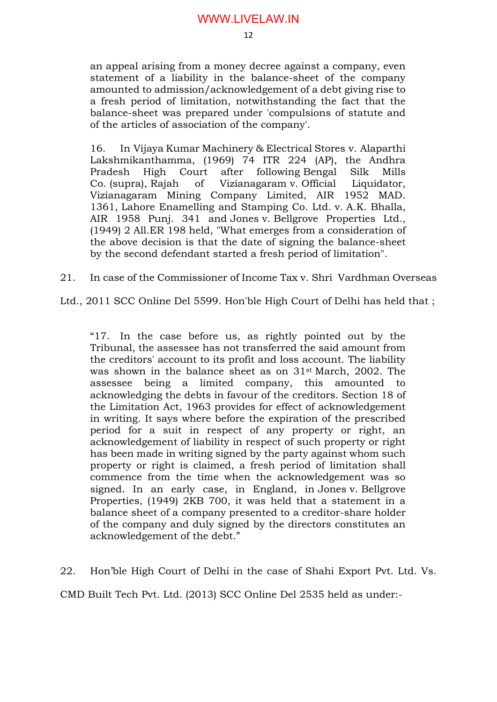an appeal arising from a money decree against a company, even statement of a liability in the balance-sheet of the company amounted to admission/acknowledgement of a debt giving rise to a fresh period of limitation, notwithstanding the fact that the balance-sheet was prepared under 'compulsions of statute and of the articles of association of the company'.

16. In Vijaya Kumar Machinery & Electrical Stores v. Alaparthi Lakshmikanthamma, (1969) 74 ITR 224 (AP), the Andhra Pradesh High Court after following Bengal Silk Mills Co. (supra), Rajah of Vizianagaram v. Official Liquidator, Vizianagaram Mining Company Limited, AIR 1952 MAD. 1361, Lahore Enamelling and Stamping Co. Ltd. v. A.K. Bhalla, AIR 1958 Punj. 341 and Jones v. Bellgrove Properties Ltd., (1949) 2 All.ER 198 held, "What emerges from a consideration of the above decision is that the date of signing the balance-sheet by the second defendant started a fresh period of limitation".

21. In case of the Commissioner of Income Tax v. Shri Vardhman Overseas

Ltd., 2011 SCC Online Del 5599. Hon'ble High Court of Delhi has held that ;

"17. In the case before us, as rightly pointed out by the Tribunal, the assessee has not transferred the said amount from the creditors' account to its profit and loss account. The liability was shown in the balance sheet as on  $31<sup>st</sup>$  March, 2002. The assessee being a limited company, this amounted to acknowledging the debts in favour of the creditors. Section 18 of the Limitation Act, 1963 provides for effect of acknowledgement in writing. It says where before the expiration of the prescribed period for a suit in respect of any property or right, an acknowledgement of liability in respect of such property or right has been made in writing signed by the party against whom such property or right is claimed, a fresh period of limitation shall commence from the time when the acknowledgement was so signed. In an early case, in England, in Jones v. Bellgrove Properties, (1949) 2KB 700, it was held that a statement in a balance sheet of a company presented to a creditor-share holder of the company and duly signed by the directors constitutes an acknowledgement of the debt."

22. Hon'ble High Court of Delhi in the case of Shahi Export Pvt. Ltd. Vs.

CMD Built Tech Pvt. Ltd. (2013) SCC Online Del 2535 held as under:-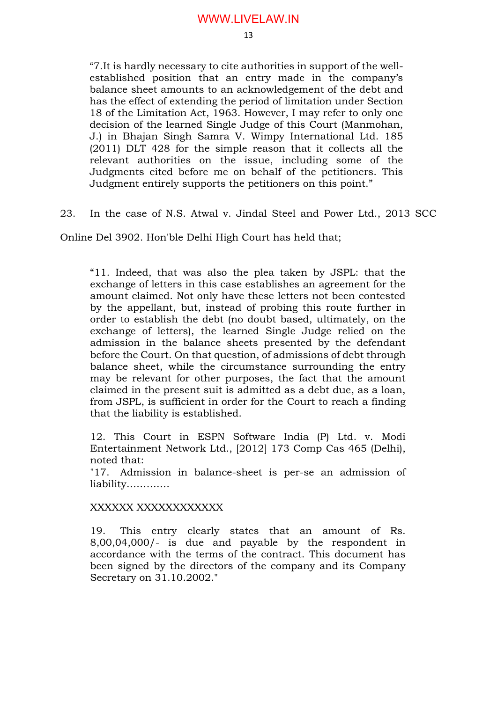"7.It is hardly necessary to cite authorities in support of the wellestablished position that an entry made in the company's balance sheet amounts to an acknowledgement of the debt and has the effect of extending the period of limitation under Section 18 of the Limitation Act, 1963. However, I may refer to only one decision of the learned Single Judge of this Court (Manmohan, J.) in Bhajan Singh Samra V. Wimpy International Ltd. 185 (2011) DLT 428 for the simple reason that it collects all the relevant authorities on the issue, including some of the Judgments cited before me on behalf of the petitioners. This Judgment entirely supports the petitioners on this point."

23. In the case of N.S. Atwal v. Jindal Steel and Power Ltd., 2013 SCC

Online Del 3902. Hon'ble Delhi High Court has held that;

"11. Indeed, that was also the plea taken by JSPL: that the exchange of letters in this case establishes an agreement for the amount claimed. Not only have these letters not been contested by the appellant, but, instead of probing this route further in order to establish the debt (no doubt based, ultimately, on the exchange of letters), the learned Single Judge relied on the admission in the balance sheets presented by the defendant before the Court. On that question, of admissions of debt through balance sheet, while the circumstance surrounding the entry may be relevant for other purposes, the fact that the amount claimed in the present suit is admitted as a debt due, as a loan, from JSPL, is sufficient in order for the Court to reach a finding that the liability is established.

12. This Court in ESPN Software India (P) Ltd. v. Modi Entertainment Network Ltd., [2012] 173 Comp Cas 465 (Delhi), noted that:

"17. Admission in balance-sheet is per-se an admission of liability………….

### XXXXXX XXXXXXXXXXXX

19. This entry clearly states that an amount of Rs. 8,00,04,000/- is due and payable by the respondent in accordance with the terms of the contract. This document has been signed by the directors of the company and its Company Secretary on 31.10.2002."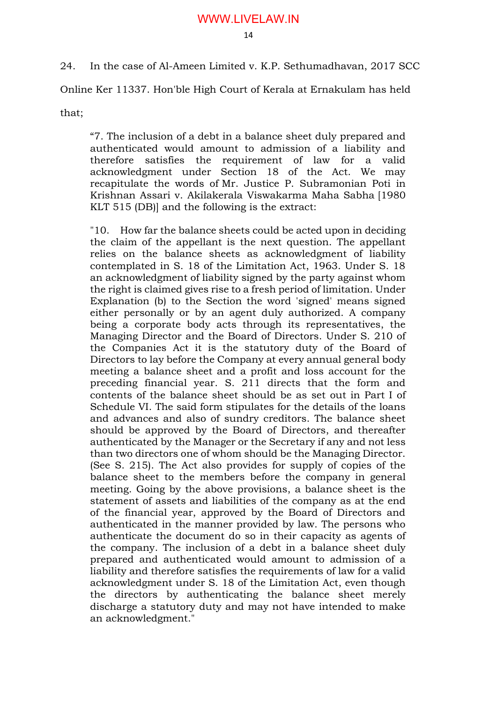24. In the case of Al-Ameen Limited v. K.P. Sethumadhavan, 2017 SCC

Online Ker 11337. Hon'ble High Court of Kerala at Ernakulam has held

that;

"7. The inclusion of a debt in a balance sheet duly prepared and authenticated would amount to admission of a liability and therefore satisfies the requirement of law for a valid acknowledgment under Section 18 of the Act. We may recapitulate the words of Mr. Justice P. Subramonian Poti in Krishnan Assari v. Akilakerala Viswakarma Maha Sabha [1980 KLT 515 (DB)] and the following is the extract:

"10. How far the balance sheets could be acted upon in deciding the claim of the appellant is the next question. The appellant relies on the balance sheets as acknowledgment of liability contemplated in S. 18 of the Limitation Act, 1963. Under S. 18 an acknowledgment of liability signed by the party against whom the right is claimed gives rise to a fresh period of limitation. Under Explanation (b) to the Section the word 'signed' means signed either personally or by an agent duly authorized. A company being a corporate body acts through its representatives, the Managing Director and the Board of Directors. Under S. 210 of the Companies Act it is the statutory duty of the Board of Directors to lay before the Company at every annual general body meeting a balance sheet and a profit and loss account for the preceding financial year. S. 211 directs that the form and contents of the balance sheet should be as set out in Part I of Schedule VI. The said form stipulates for the details of the loans and advances and also of sundry creditors. The balance sheet should be approved by the Board of Directors, and thereafter authenticated by the Manager or the Secretary if any and not less than two directors one of whom should be the Managing Director. (See S. 215). The Act also provides for supply of copies of the balance sheet to the members before the company in general meeting. Going by the above provisions, a balance sheet is the statement of assets and liabilities of the company as at the end of the financial year, approved by the Board of Directors and authenticated in the manner provided by law. The persons who authenticate the document do so in their capacity as agents of the company. The inclusion of a debt in a balance sheet duly prepared and authenticated would amount to admission of a liability and therefore satisfies the requirements of law for a valid acknowledgment under S. 18 of the Limitation Act, even though the directors by authenticating the balance sheet merely discharge a statutory duty and may not have intended to make an acknowledgment."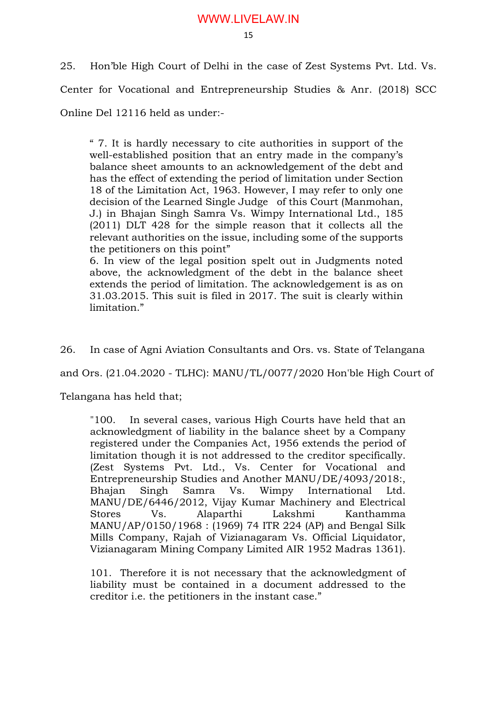25. Hon'ble High Court of Delhi in the case of Zest Systems Pvt. Ltd. Vs. Center for Vocational and Entrepreneurship Studies & Anr. (2018) SCC Online Del 12116 held as under:-

" 7. It is hardly necessary to cite authorities in support of the well-established position that an entry made in the company's balance sheet amounts to an acknowledgement of the debt and has the effect of extending the period of limitation under Section 18 of the Limitation Act, 1963. However, I may refer to only one decision of the Learned Single Judge of this Court (Manmohan, J.) in Bhajan Singh Samra Vs. Wimpy International Ltd., 185 (2011) DLT 428 for the simple reason that it collects all the relevant authorities on the issue, including some of the supports the petitioners on this point"

6. In view of the legal position spelt out in Judgments noted above, the acknowledgment of the debt in the balance sheet extends the period of limitation. The acknowledgement is as on 31.03.2015. This suit is filed in 2017. The suit is clearly within limitation."

26. In case of Agni Aviation Consultants and Ors. vs. State of Telangana

and Ors. (21.04.2020 - TLHC): MANU/TL/0077/2020 Hon'ble High Court of

Telangana has held that;

"100. In several cases, various High Courts have held that an acknowledgment of liability in the balance sheet by a Company registered under the Companies Act, 1956 extends the period of limitation though it is not addressed to the creditor specifically. (Zest Systems Pvt. Ltd., Vs. Center for Vocational and Entrepreneurship Studies and Another MANU/DE/4093/2018:, Bhajan Singh Samra Vs. Wimpy International Ltd. MANU/DE/6446/2012, Vijay Kumar Machinery and Electrical Stores Vs. Alaparthi Lakshmi Kanthamma MANU/AP/0150/1968 : (1969) 74 ITR 224 (AP) and Bengal Silk Mills Company, Rajah of Vizianagaram Vs. Official Liquidator, Vizianagaram Mining Company Limited AIR 1952 Madras 1361).

101. Therefore it is not necessary that the acknowledgment of liability must be contained in a document addressed to the creditor i.e. the petitioners in the instant case."

15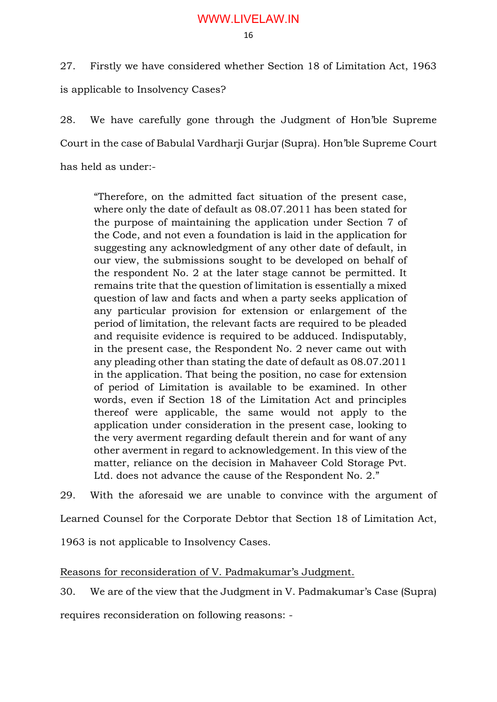27. Firstly we have considered whether Section 18 of Limitation Act, 1963 is applicable to Insolvency Cases?

28. We have carefully gone through the Judgment of Hon'ble Supreme Court in the case of Babulal Vardharji Gurjar (Supra). Hon'ble Supreme Court has held as under:-

"Therefore, on the admitted fact situation of the present case, where only the date of default as 08.07.2011 has been stated for the purpose of maintaining the application under Section 7 of the Code, and not even a foundation is laid in the application for suggesting any acknowledgment of any other date of default, in our view, the submissions sought to be developed on behalf of the respondent No. 2 at the later stage cannot be permitted. It remains trite that the question of limitation is essentially a mixed question of law and facts and when a party seeks application of any particular provision for extension or enlargement of the period of limitation, the relevant facts are required to be pleaded and requisite evidence is required to be adduced. Indisputably, in the present case, the Respondent No. 2 never came out with any pleading other than stating the date of default as 08.07.2011 in the application. That being the position, no case for extension of period of Limitation is available to be examined. In other words, even if Section 18 of the Limitation Act and principles thereof were applicable, the same would not apply to the application under consideration in the present case, looking to the very averment regarding default therein and for want of any other averment in regard to acknowledgement. In this view of the matter, reliance on the decision in Mahaveer Cold Storage Pvt. Ltd. does not advance the cause of the Respondent No. 2."

29. With the aforesaid we are unable to convince with the argument of

Learned Counsel for the Corporate Debtor that Section 18 of Limitation Act,

1963 is not applicable to Insolvency Cases.

Reasons for reconsideration of V. Padmakumar's Judgment.

30. We are of the view that the Judgment in V. Padmakumar's Case (Supra)

requires reconsideration on following reasons: -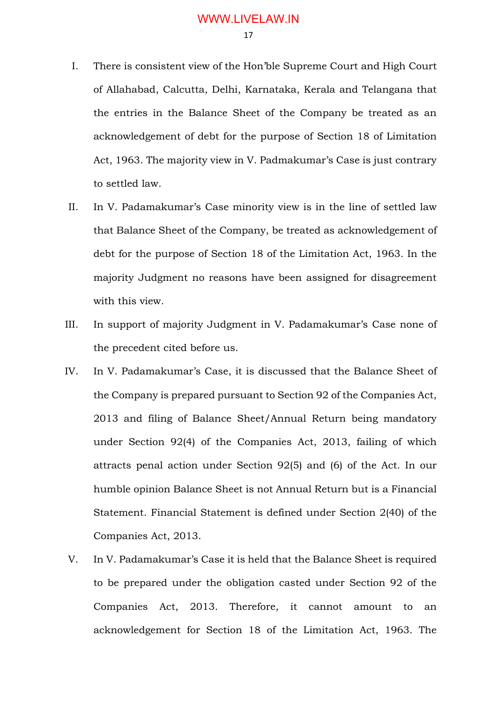I. There is consistent view of the Hon'ble Supreme Court and High Court of Allahabad, Calcutta, Delhi, Karnataka, Kerala and Telangana that the entries in the Balance Sheet of the Company be treated as an acknowledgement of debt for the purpose of Section 18 of Limitation Act, 1963. The majority view in V. Padmakumar's Case is just contrary to settled law.

- II. In V. Padamakumar's Case minority view is in the line of settled law that Balance Sheet of the Company, be treated as acknowledgement of debt for the purpose of Section 18 of the Limitation Act, 1963. In the majority Judgment no reasons have been assigned for disagreement with this view.
- III. In support of majority Judgment in V. Padamakumar's Case none of the precedent cited before us.
- IV. In V. Padamakumar's Case, it is discussed that the Balance Sheet of the Company is prepared pursuant to Section 92 of the Companies Act, 2013 and filing of Balance Sheet/Annual Return being mandatory under Section 92(4) of the Companies Act, 2013, failing of which attracts penal action under Section 92(5) and (6) of the Act. In our humble opinion Balance Sheet is not Annual Return but is a Financial Statement. Financial Statement is defined under Section 2(40) of the Companies Act, 2013.
- V. In V. Padamakumar's Case it is held that the Balance Sheet is required to be prepared under the obligation casted under Section 92 of the Companies Act, 2013. Therefore, it cannot amount to an acknowledgement for Section 18 of the Limitation Act, 1963. The

17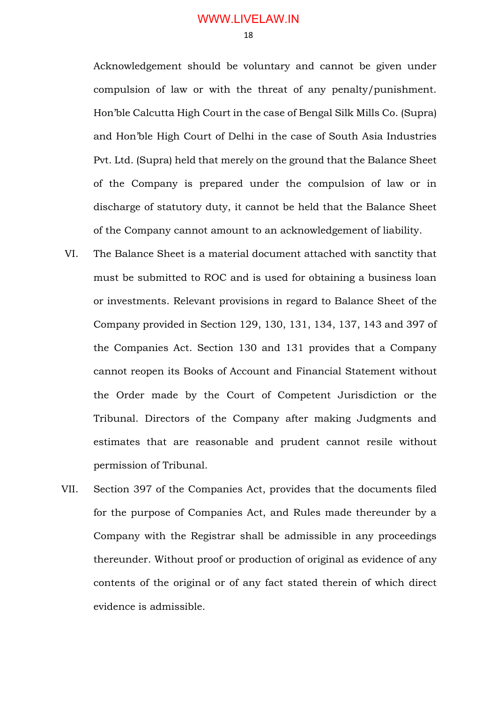Acknowledgement should be voluntary and cannot be given under compulsion of law or with the threat of any penalty/punishment. Hon'ble Calcutta High Court in the case of Bengal Silk Mills Co. (Supra) and Hon'ble High Court of Delhi in the case of South Asia Industries Pvt. Ltd. (Supra) held that merely on the ground that the Balance Sheet of the Company is prepared under the compulsion of law or in discharge of statutory duty, it cannot be held that the Balance Sheet of the Company cannot amount to an acknowledgement of liability.

- VI. The Balance Sheet is a material document attached with sanctity that must be submitted to ROC and is used for obtaining a business loan or investments. Relevant provisions in regard to Balance Sheet of the Company provided in Section 129, 130, 131, 134, 137, 143 and 397 of the Companies Act. Section 130 and 131 provides that a Company cannot reopen its Books of Account and Financial Statement without the Order made by the Court of Competent Jurisdiction or the Tribunal. Directors of the Company after making Judgments and estimates that are reasonable and prudent cannot resile without permission of Tribunal.
- VII. Section 397 of the Companies Act, provides that the documents filed for the purpose of Companies Act, and Rules made thereunder by a Company with the Registrar shall be admissible in any proceedings thereunder. Without proof or production of original as evidence of any contents of the original or of any fact stated therein of which direct evidence is admissible.